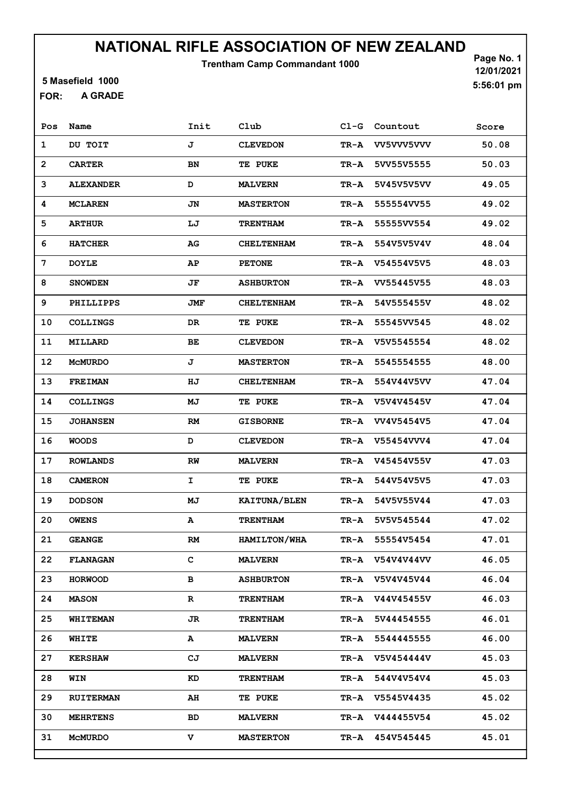Trentham Camp Commandant 1000

5 Masefield 1000

A GRADE FOR:

Page No. 1 12/01/2021 5:56:01 pm

| Pos            | Name             | Init      | Club                | $C1-G$ | Countout          | Score |
|----------------|------------------|-----------|---------------------|--------|-------------------|-------|
| 1              | DU TOIT          | J         | <b>CLEVEDON</b>     | TR-A   | VV5VVV5VVV        | 50.08 |
| $\overline{2}$ | <b>CARTER</b>    | BN        | <b>TE PUKE</b>      | TR-A   | 5VV55V5555        | 50.03 |
| 3              | <b>ALEXANDER</b> | D         | <b>MALVERN</b>      | TR-A   | 5V45V5V5VV        | 49.05 |
| 4              | <b>MCLAREN</b>   | JN        | <b>MASTERTON</b>    | TR-A   | 555554VV55        | 49.02 |
| 5              | <b>ARTHUR</b>    | LJ        | <b>TRENTHAM</b>     | TR-A   | 55555VV554        | 49.02 |
| 6              | <b>HATCHER</b>   | AG        | <b>CHELTENHAM</b>   | TR-A   | 554V5V5V4V        | 48.04 |
| 7              | <b>DOYLE</b>     | AP        | <b>PETONE</b>       | TR-A   | V54554V5V5        | 48.03 |
| 8              | <b>SNOWDEN</b>   | JF        | <b>ASHBURTON</b>    | TR-A   | VV55445V55        | 48.03 |
| 9              | PHILLIPPS        | JMF       | <b>CHELTENHAM</b>   | TR-A   | 54V555455V        | 48.02 |
| 10             | <b>COLLINGS</b>  | <b>DR</b> | <b>TE PUKE</b>      | TR-A   | 55545VV545        | 48.02 |
| 11             | MILLARD          | ВE        | <b>CLEVEDON</b>     | TR-A   | V5V5545554        | 48.02 |
| 12             | <b>MCMURDO</b>   | J         | <b>MASTERTON</b>    | TR-A   | 5545554555        | 48.00 |
| 13             | <b>FREIMAN</b>   | ΗJ        | <b>CHELTENHAM</b>   | TR-A   | 554V44V5VV        | 47.04 |
| 14             | <b>COLLINGS</b>  | MJ        | <b>TE PUKE</b>      | TR-A   | V5V4V4545V        | 47.04 |
| 15             | <b>JOHANSEN</b>  | RM        | <b>GISBORNE</b>     | TR-A   | VV4V5454V5        | 47.04 |
| 16             | <b>WOODS</b>     | D         | <b>CLEVEDON</b>     | TR-A   | V55454VVV4        | 47.04 |
| 17             | <b>ROWLANDS</b>  | RW        | <b>MALVERN</b>      | TR-A   | V45454V55V        | 47.03 |
| 18             | <b>CAMERON</b>   | I.        | TE PUKE             | TR-A   | 544V54V5V5        | 47.03 |
| 19             | <b>DODSON</b>    | MJ        | KAITUNA/BLEN        | TR-A   | 54V5V55V44        | 47.03 |
| 20             | <b>OWENS</b>     | А         | <b>TRENTHAM</b>     | TR-A   | 5V5V545544        | 47.02 |
| 21             | <b>GEANGE</b>    | <b>RM</b> | <b>HAMILTON/WHA</b> | TR-A   | 55554V5454        | 47.01 |
| 22             | <b>FLANAGAN</b>  | C         | <b>MALVERN</b>      | TR-A   | <b>V54V4V44VV</b> | 46.05 |
| 23             | <b>HORWOOD</b>   | в         | <b>ASHBURTON</b>    | TR-A   | V5V4V45V44        | 46.04 |
| 24             | <b>MASON</b>     | R         | <b>TRENTHAM</b>     | TR-A   | V44V45455V        | 46.03 |
| 25             | <b>WHITEMAN</b>  | JR        | <b>TRENTHAM</b>     | TR-A   | 5V44454555        | 46.01 |
| 26             | WHITE            | A         | <b>MALVERN</b>      | TR-A   | 5544445555        | 46.00 |
| 27             | <b>KERSHAW</b>   | CJ        | <b>MALVERN</b>      | TR-A   | V5V454444V        | 45.03 |
| 28             | WIN              | KD        | <b>TRENTHAM</b>     | TR-A   | 544V4V54V4        | 45.03 |
| 29             | <b>RUITERMAN</b> | AH        | <b>TE PUKE</b>      | TR-A   | V5545V4435        | 45.02 |
| 30             | <b>MEHRTENS</b>  | BD        | <b>MALVERN</b>      | TR-A   | V444455V54        | 45.02 |
| 31             | MCMURDO          | v         | <b>MASTERTON</b>    | TR-A   | 454V545445        | 45.01 |
|                |                  |           |                     |        |                   |       |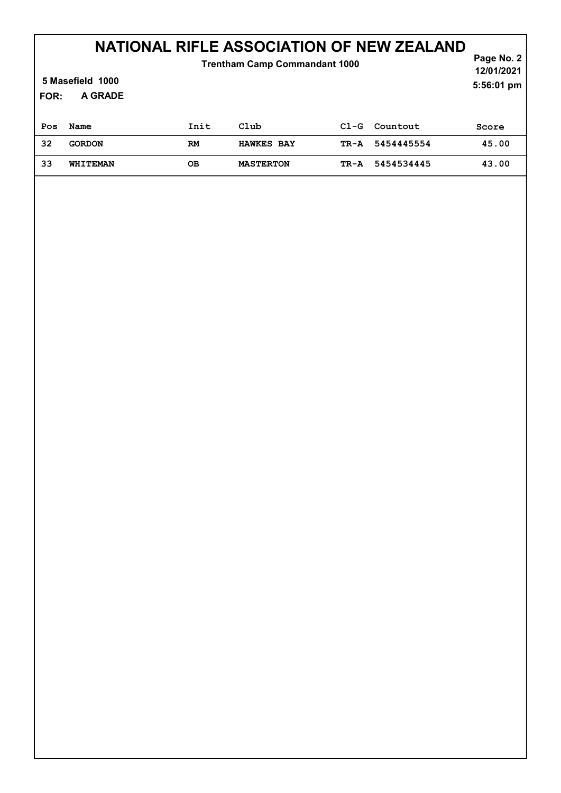| FOR: | <b>Trentham Camp Commandant 1000</b><br>5 Masefield 1000<br>A GRADE |           |                   |        |            | Page No. 2<br>12/01/2021<br>5:56:01 pm |
|------|---------------------------------------------------------------------|-----------|-------------------|--------|------------|----------------------------------------|
| Pos  | Name                                                                | Init      | Club              | $C1-G$ | Countout   | Score                                  |
| 32   | <b>GORDON</b>                                                       | <b>RM</b> | <b>HAWKES BAY</b> | TR-A   | 5454445554 | 45.00                                  |
| 33   | <b>WHITEMAN</b>                                                     | OВ        | <b>MASTERTON</b>  | TR-A   | 5454534445 | 43.00                                  |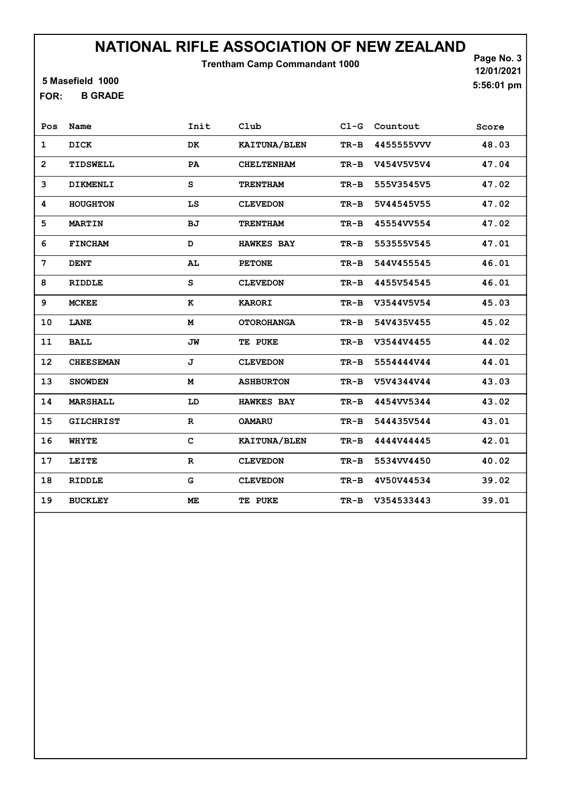Trentham Camp Commandant 1000

5 Masefield 1000

B GRADE FOR:

Page No. 3 12/01/2021 5:56:01 pm

| Pos               | Name             | Init         | Club              |        | Cl-G Countout | Score |
|-------------------|------------------|--------------|-------------------|--------|---------------|-------|
| $\mathbf{1}$      | DICK             | DK           | KAITUNA/BLEN      | $TR-B$ | 4455555VVV    | 48.03 |
| $\overline{2}$    | TIDSWELL         | PA           | <b>CHELTENHAM</b> | TR-B   | V454V5V5V4    | 47.04 |
| 3                 | DIKMENLI         | S            | <b>TRENTHAM</b>   | $TR-B$ | 555V3545V5    | 47.02 |
| 4                 | HOUGHTON         | LS           | <b>CLEVEDON</b>   | TR-B   | 5V44545V55    | 47.02 |
| 5                 | <b>MARTIN</b>    | BJ           | <b>TRENTHAM</b>   | $TR-B$ | 45554VV554    | 47.02 |
| 6                 | <b>FINCHAM</b>   | D            | <b>HAWKES BAY</b> | $TR-B$ | 553555V545    | 47.01 |
| 7                 | <b>DENT</b>      | AL           | <b>PETONE</b>     | $TR-B$ | 544V455545    | 46.01 |
| 8                 | <b>RIDDLE</b>    | S            | <b>CLEVEDON</b>   | $TR-B$ | 4455V54545    | 46.01 |
| 9                 | <b>MCKEE</b>     | к            | <b>KARORI</b>     | $TR-B$ | V3544V5V54    | 45.03 |
| 10                | <b>LANE</b>      | M            | <b>OTOROHANGA</b> | $TR-B$ | 54V435V455    | 45.02 |
| 11                | <b>BALL</b>      | JW           | TE PUKE           | TR-B   | V3544V4455    | 44.02 |
| $12 \overline{ }$ | <b>CHEESEMAN</b> | J            | <b>CLEVEDON</b>   | TR-B   | 5554444V44    | 44.01 |
| 13                | <b>SNOWDEN</b>   | M            | <b>ASHBURTON</b>  | TR-B   | V5V4344V44    | 43.03 |
| 14                | <b>MARSHALL</b>  | LD           | <b>HAWKES BAY</b> | $TR-B$ | 4454VV5344    | 43.02 |
| 15                | <b>GILCHRIST</b> | $\mathbf R$  | <b>OAMARU</b>     | $TR-B$ | 544435V544    | 43.01 |
| 16                | <b>WHYTE</b>     | $\mathbf C$  | KAITUNA/BLEN      | $TR-B$ | 4444V44445    | 42.01 |
| 17                | LEITE            | $\mathbf{R}$ | <b>CLEVEDON</b>   | TR-B   | 5534VV4450    | 40.02 |
| 18                | RIDDLE           | G            | <b>CLEVEDON</b>   | TR-B   | 4V50V44534    | 39.02 |
| 19                | <b>BUCKLEY</b>   | МE           | <b>TE PUKE</b>    | TR-B   | V354533443    | 39.01 |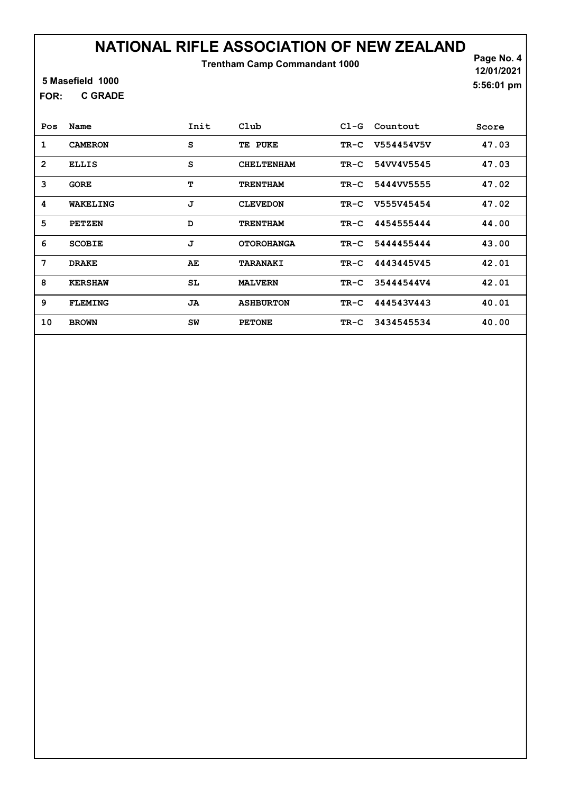Trentham Camp Commandant 1000

Page No. 4 12/01/2021 5:56:01 pm

#### 5 Masefield 1000

C GRADE FOR:

| Pos            | Name           | Init | Club              | $C1-G$ | Countout        | Score |
|----------------|----------------|------|-------------------|--------|-----------------|-------|
| 1              | <b>CAMERON</b> | S    | TE PUKE           | TR-C   | V554454V5V      | 47.03 |
| $\overline{2}$ | <b>ELLIS</b>   | S    | <b>CHELTENHAM</b> | TR-C   | 54VV4V5545      | 47.03 |
| 3              | GORE           | т    | <b>TRENTHAM</b>   | TR-C   | 5444VV5555      | 47.02 |
| 4              | WAKELING       | J    | <b>CLEVEDON</b>   | TR-C   | V555V45454      | 47.02 |
| 5              | <b>PETZEN</b>  | D    | <b>TRENTHAM</b>   | TR-C   | 4454555444      | 44.00 |
| 6              | <b>SCOBIE</b>  | J    | <b>OTOROHANGA</b> | TR-C   | 5444455444      | 43.00 |
| 7              | <b>DRAKE</b>   | AE   | TARANAKI          | TR-C   | 4443445V45      | 42.01 |
| 8              | <b>KERSHAW</b> | SL   | <b>MALVERN</b>    | TR-C   | 35444544V4      | 42.01 |
| 9              | <b>FLEMING</b> | JA   | <b>ASHBURTON</b>  |        | TR-C 444543V443 | 40.01 |
| 10             | <b>BROWN</b>   | SW   | <b>PETONE</b>     | TR-C   | 3434545534      | 40.00 |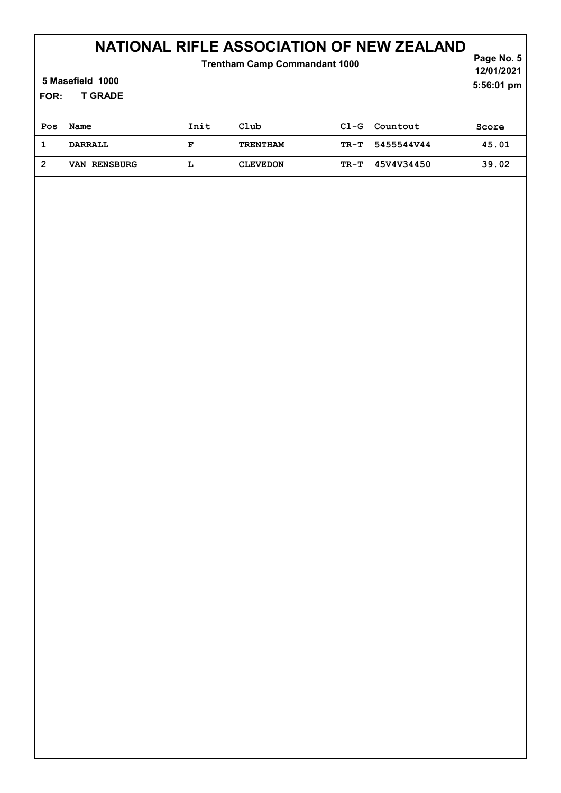| <b>Trentham Camp Commandant 1000</b><br>5 Masefield 1000<br><b>T GRADE</b><br>FOR: |                     |      |                 |        |            | Page No. 5<br>12/01/2021<br>5:56:01 pm |
|------------------------------------------------------------------------------------|---------------------|------|-----------------|--------|------------|----------------------------------------|
| Pos                                                                                | Name                | Init | Club            | $C1-G$ | Countout   | Score                                  |
|                                                                                    | <b>DARRALL</b>      | F    | <b>TRENTHAM</b> | TR-T   | 5455544V44 | 45.01                                  |
| 2                                                                                  | <b>VAN RENSBURG</b> | L    | <b>CLEVEDON</b> | TR-T   | 45V4V34450 | 39.02                                  |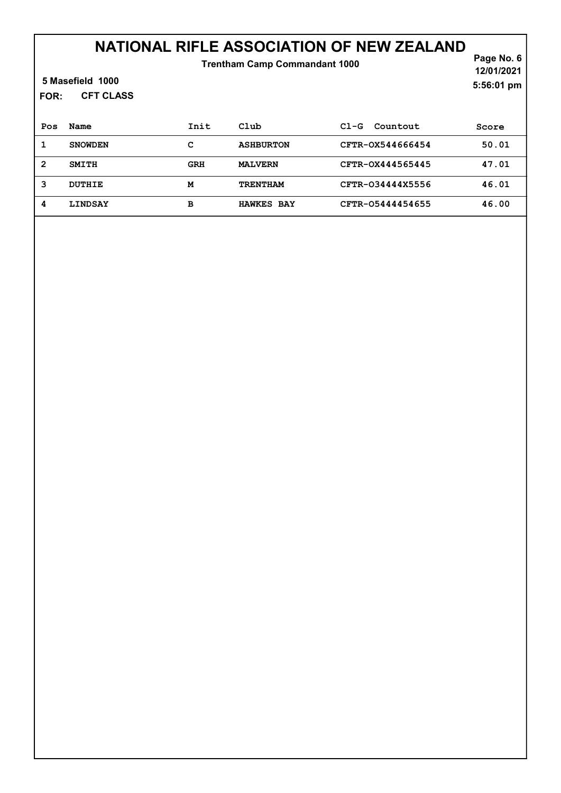Trentham Camp Commandant 1000

Page No. 6 12/01/2021 5:56:01 pm

#### 5 Masefield 1000

CFT CLASS FOR:

| Pos | Name           | Init | Club              | Countout<br>$C1-G$ | Score |
|-----|----------------|------|-------------------|--------------------|-------|
|     | <b>SNOWDEN</b> | с    | <b>ASHBURTON</b>  | CFTR-0X544666454   | 50.01 |
| 2   | <b>SMITH</b>   | GRH  | <b>MALVERN</b>    | CFTR-0X444565445   | 47.01 |
| 3   | <b>DUTHIE</b>  | м    | <b>TRENTHAM</b>   | CFTR-034444X5556   | 46.01 |
| 4   | <b>LINDSAY</b> | в    | <b>HAWKES BAY</b> | CFTR-05444454655   | 46.00 |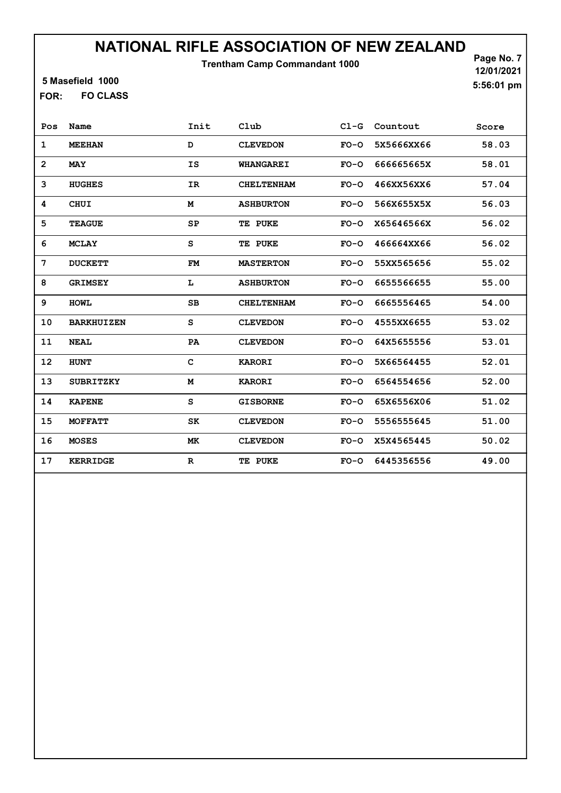Trentham Camp Commandant 1000

Page No. 7 12/01/2021 5:56:01 pm

### 5 Masefield 1000

FO CLASS FOR:

| Pos          | Name              | Init         | Club              | $C1-G$ | Countout   | Score |
|--------------|-------------------|--------------|-------------------|--------|------------|-------|
| 1            | <b>MEEHAN</b>     | D            | <b>CLEVEDON</b>   | $FO-O$ | 5X5666XX66 | 58.03 |
| $\mathbf{2}$ | <b>MAY</b>        | IS           | <b>WHANGAREI</b>  | $FO-O$ | 666665665X | 58.01 |
| 3            | <b>HUGHES</b>     | IR           | <b>CHELTENHAM</b> | $FO-O$ | 466XX56XX6 | 57.04 |
| 4            | <b>CHUI</b>       | M            | <b>ASHBURTON</b>  | $FO-O$ | 566X655X5X | 56.03 |
| 5            | <b>TEAGUE</b>     | SP           | TE PUKE           | $FO-O$ | X65646566X | 56.02 |
| 6            | <b>MCLAY</b>      | S            | TE PUKE           | $FO-O$ | 466664XX66 | 56.02 |
| 7            | <b>DUCKETT</b>    | FM           | <b>MASTERTON</b>  | $FO-O$ | 55XX565656 | 55.02 |
| 8            | <b>GRIMSEY</b>    | L            | <b>ASHBURTON</b>  | $FO-O$ | 6655566655 | 55.00 |
| 9            | <b>HOWL</b>       | SB           | <b>CHELTENHAM</b> | $FO-O$ | 6665556465 | 54.00 |
| 10           | <b>BARKHUIZEN</b> | S            | <b>CLEVEDON</b>   | $FO-O$ | 4555XX6655 | 53.02 |
| 11           | <b>NEAL</b>       | PA           | <b>CLEVEDON</b>   | $FO-O$ | 64X5655556 | 53.01 |
| 12           | <b>HUNT</b>       | $\mathbf C$  | <b>KARORI</b>     | $FO-O$ | 5X66564455 | 52.01 |
| 13           | <b>SUBRITZKY</b>  | М            | <b>KARORI</b>     | $FO-O$ | 6564554656 | 52.00 |
| 14           | <b>KAPENE</b>     | $\mathtt{s}$ | <b>GISBORNE</b>   | $FO-O$ | 65X6556X06 | 51.02 |
| 15           | <b>MOFFATT</b>    | SK           | <b>CLEVEDON</b>   | $FO-O$ | 5556555645 | 51.00 |
| 16           | <b>MOSES</b>      | МK           | <b>CLEVEDON</b>   | $FO-O$ | X5X4565445 | 50.02 |
| 17           | <b>KERRIDGE</b>   | R            | TE PUKE           | $FO-O$ | 6445356556 | 49.00 |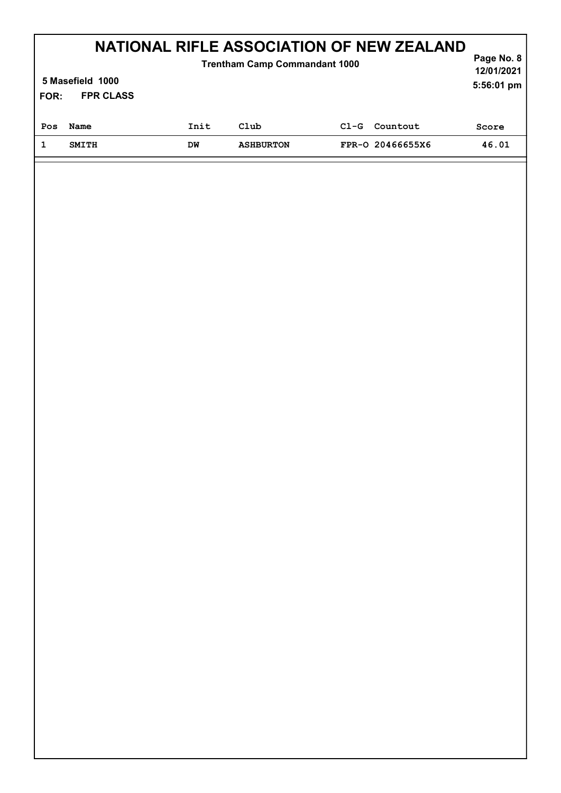| NATIONAL RIFLE ASSOCIATION OF NEW ZEALAND<br><b>Trentham Camp Commandant 1000</b> |                  |      |                  |        |                  |            |  |  |
|-----------------------------------------------------------------------------------|------------------|------|------------------|--------|------------------|------------|--|--|
|                                                                                   | 5 Masefield 1000 |      |                  |        |                  |            |  |  |
| FOR:                                                                              | <b>FPR CLASS</b> |      |                  |        |                  | 5:56:01 pm |  |  |
|                                                                                   |                  |      |                  |        |                  |            |  |  |
| Pos                                                                               | Name             | Init | $_{\rm Club}$    | $C1-G$ | Countout         | Score      |  |  |
|                                                                                   | <b>SMITH</b>     | DM   | <b>ASHBURTON</b> |        | FPR-0 20466655X6 | 46.01      |  |  |
|                                                                                   |                  |      |                  |        |                  |            |  |  |
|                                                                                   |                  |      |                  |        |                  |            |  |  |